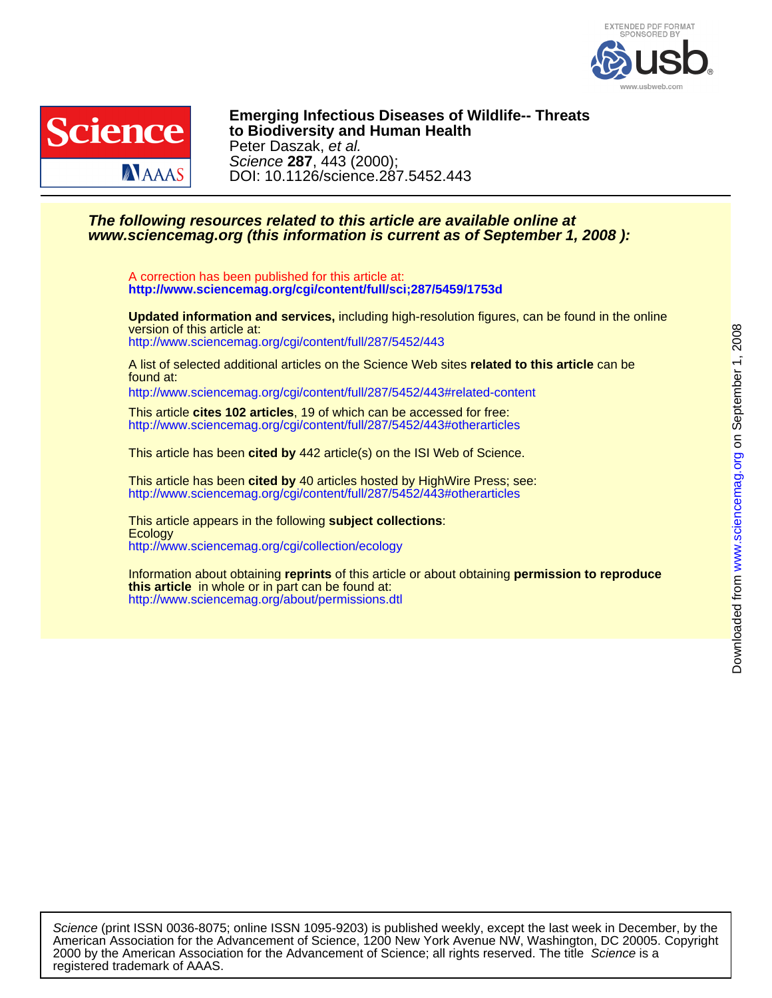



DOI: 10.1126/science.287.5452.443 Science **287**, 443 (2000); Peter Daszak, et al. **to Biodiversity and Human Health Emerging Infectious Diseases of Wildlife-- Threats**

## **www.sciencemag.org (this information is current as of September 1, 2008 ): The following resources related to this article are available online at**

**<http://www.sciencemag.org/cgi/content/full/sci;287/5459/1753d>** A correction has been published for this article at:

<http://www.sciencemag.org/cgi/content/full/287/5452/443> version of this article at: **Updated information and services,** including high-resolution figures, can be found in the online

found at: A list of selected additional articles on the Science Web sites **related to this article** can be

<http://www.sciencemag.org/cgi/content/full/287/5452/443#related-content>

<http://www.sciencemag.org/cgi/content/full/287/5452/443#otherarticles> This article **cites 102 articles**, 19 of which can be accessed for free:

This article has been **cited by** 442 article(s) on the ISI Web of Science.

<http://www.sciencemag.org/cgi/content/full/287/5452/443#otherarticles> This article has been **cited by** 40 articles hosted by HighWire Press; see:

<http://www.sciencemag.org/cgi/collection/ecology> **Ecology** This article appears in the following **subject collections**:

<http://www.sciencemag.org/about/permissions.dtl> **this article** in whole or in part can be found at: Information about obtaining **reprints** of this article or about obtaining **permission to reproduce**

registered trademark of AAAS. 2000 by the American Association for the Advancement of Science; all rights reserved. The title Science is a American Association for the Advancement of Science, 1200 New York Avenue NW, Washington, DC 20005. Copyright Science (print ISSN 0036-8075; online ISSN 1095-9203) is published weekly, except the last week in December, by the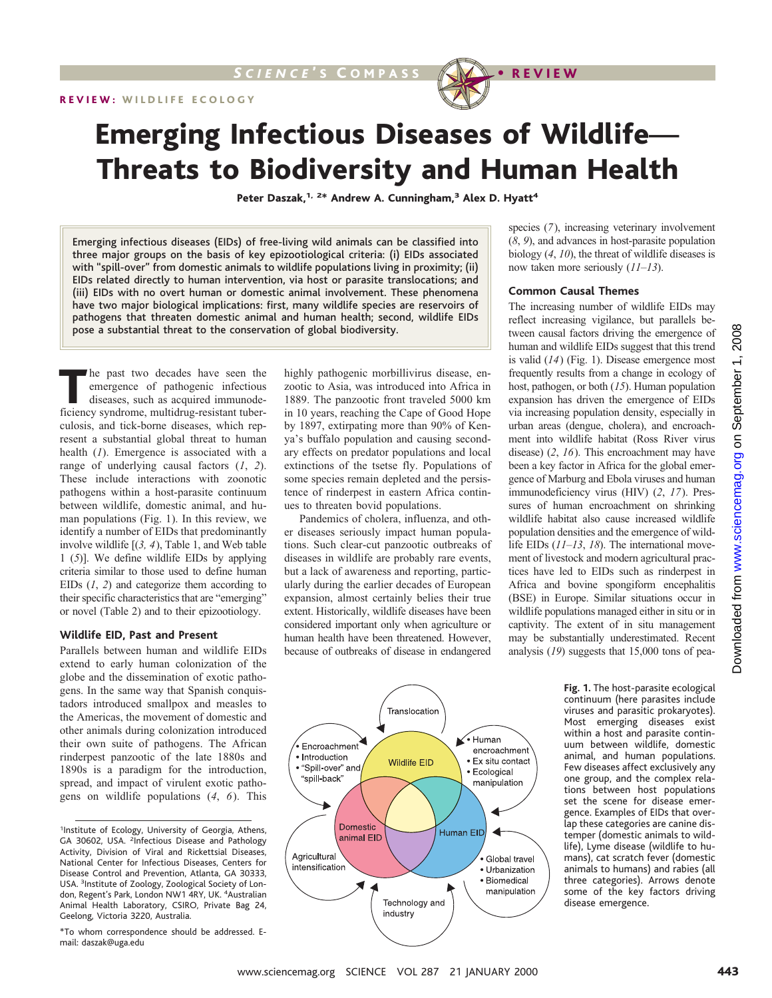

# Emerging Infectious Diseases of Wildlife— Threats to Biodiversity and Human Health

Peter Daszak,<sup>1, 2\*</sup> Andrew A. Cunningham,<sup>3</sup> Alex D. Hyatt<sup>4</sup>

Emerging infectious diseases (EIDs) of free-living wild animals can be classified into three major groups on the basis of key epizootiological criteria: (i) EIDs associated with "spill-over" from domestic animals to wildlife populations living in proximity; (ii) EIDs related directly to human intervention, via host or parasite translocations; and (iii) EIDs with no overt human or domestic animal involvement. These phenomena have two major biological implications: first, many wildlife species are reservoirs of pathogens that threaten domestic animal and human health; second, wildlife EIDs pose a substantial threat to the conservation of global biodiversity.

The past two decades have seen the emergence of pathogenic infectious diseases, such as acquired immunodeficiency syndrome, multidrug-resistant tuberculosis, and tick-borne diseases, which represent a substantial global threat to human health (*1*). Emergence is associated with a range of underlying causal factors (*1*, *2*). These include interactions with zoonotic pathogens within a host-parasite continuum between wildlife, domestic animal, and human populations (Fig. 1). In this review, we identify a number of EIDs that predominantly involve wildlife [(*3, 4*), Table 1, and Web table 1 (*5*)]. We define wildlife EIDs by applying criteria similar to those used to define human EIDs (*1*, *2*) and categorize them according to their specific characteristics that are "emerging" or novel (Table 2) and to their epizootiology.

#### **Wildlife EID, Past and Present**

Parallels between human and wildlife EIDs extend to early human colonization of the globe and the dissemination of exotic pathogens. In the same way that Spanish conquistadors introduced smallpox and measles to the Americas, the movement of domestic and other animals during colonization introduced their own suite of pathogens. The African rinderpest panzootic of the late 1880s and 1890s is a paradigm for the introduction, spread, and impact of virulent exotic pathogens on wildlife populations (*4*, *6*). This

<sup>1</sup>Institute of Ecology, University of Georgia, Athens, GA 30602, USA. <sup>2</sup>Infectious Disease and Pathology Activity, Division of Viral and Rickettsial Diseases, National Center for Infectious Diseases, Centers for Disease Control and Prevention, Atlanta, GA 30333, USA. <sup>3</sup>Institute of Zoology, Zoological Society of London, Regent's Park, London NW1 4RY, UK. <sup>4</sup>Australian Animal Health Laboratory, CSIRO, Private Bag 24, Geelong, Victoria 3220, Australia.

\*To whom correspondence should be addressed. Email: daszak@uga.edu

highly pathogenic morbillivirus disease, enzootic to Asia, was introduced into Africa in 1889. The panzootic front traveled 5000 km in 10 years, reaching the Cape of Good Hope by 1897, extirpating more than 90% of Kenya's buffalo population and causing secondary effects on predator populations and local extinctions of the tsetse fly. Populations of some species remain depleted and the persistence of rinderpest in eastern Africa continues to threaten bovid populations.

Pandemics of cholera, influenza, and other diseases seriously impact human populations. Such clear-cut panzootic outbreaks of diseases in wildlife are probably rare events, but a lack of awareness and reporting, particularly during the earlier decades of European expansion, almost certainly belies their true extent. Historically, wildlife diseases have been considered important only when agriculture or human health have been threatened. However, because of outbreaks of disease in endangered



species (*7*), increasing veterinary involvement (*8*, *9*), and advances in host-parasite population biology (*4*, *10*), the threat of wildlife diseases is now taken more seriously (*11–13*).

#### **Common Causal Themes**

The increasing number of wildlife EIDs may reflect increasing vigilance, but parallels between causal factors driving the emergence of human and wildlife EIDs suggest that this trend is valid (*14*) (Fig. 1). Disease emergence most frequently results from a change in ecology of host, pathogen, or both (*15*). Human population expansion has driven the emergence of EIDs via increasing population density, especially in urban areas (dengue, cholera), and encroachment into wildlife habitat (Ross River virus disease) (*2*, *16*). This encroachment may have been a key factor in Africa for the global emergence of Marburg and Ebola viruses and human immunodeficiency virus (HIV) (*2*, *17*). Pressures of human encroachment on shrinking wildlife habitat also cause increased wildlife population densities and the emergence of wildlife EIDs (*11–13*, *18*). The international movement of livestock and modern agricultural practices have led to EIDs such as rinderpest in Africa and bovine spongiform encephalitis (BSE) in Europe. Similar situations occur in wildlife populations managed either in situ or in captivity. The extent of in situ management may be substantially underestimated. Recent analysis (*19*) suggests that 15,000 tons of pea-

**Fig. 1.** The host-parasite ecological continuum (here parasites include viruses and parasitic prokaryotes). Most emerging diseases exist within a host and parasite continuum between wildlife, domestic animal, and human populations. Few diseases affect exclusively any one group, and the complex relations between host populations set the scene for disease emergence. Examples of EIDs that overlap these categories are canine distemper (domestic animals to wildlife), Lyme disease (wildlife to humans), cat scratch fever (domestic animals to humans) and rabies (all three categories). Arrows denote some of the key factors driving disease emergence.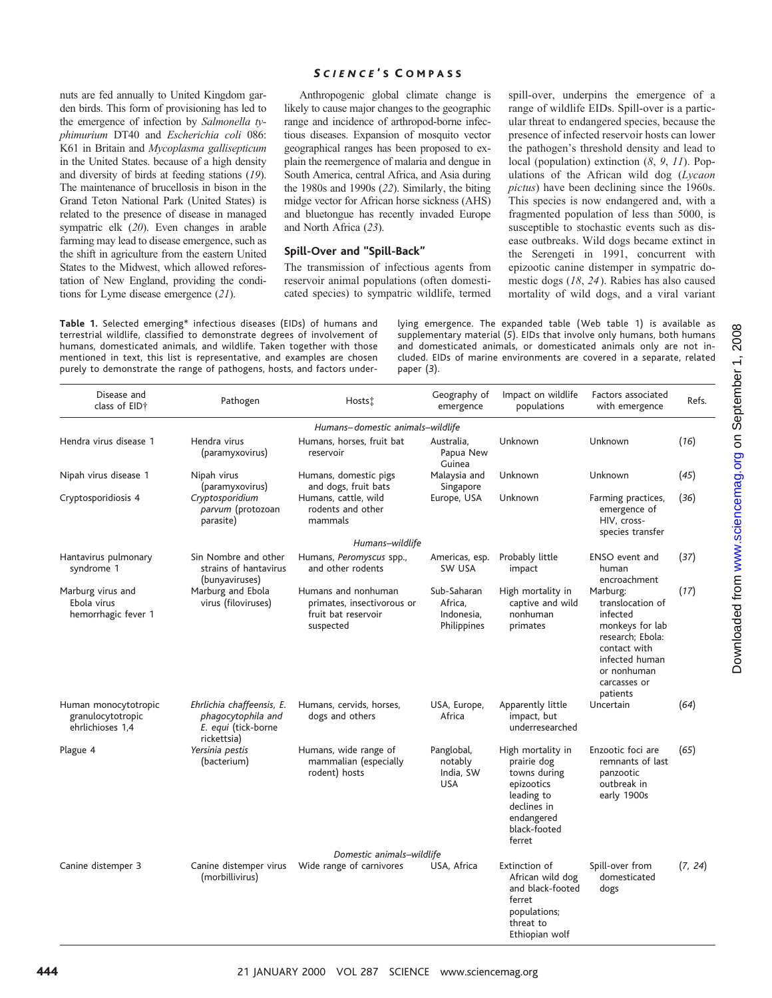## *S CIENCE* ' S C OMPASS

nuts are fed annually to United Kingdom garden birds. This form of provisioning has led to the emergence of infection by *Salmonella typhimurium* DT40 and *Escherichia coli* 086: K61 in Britain and *Mycoplasma gallisepticum* in the United States. because of a high density and diversity of birds at feeding stations (*19*). The maintenance of brucellosis in bison in the Grand Teton National Park (United States) is related to the presence of disease in managed sympatric elk (*20*). Even changes in arable farming may lead to disease emergence, such as the shift in agriculture from the eastern United States to the Midwest, which allowed reforestation of New England, providing the conditions for Lyme disease emergence (*21*).

Anthropogenic global climate change is likely to cause major changes to the geographic range and incidence of arthropod-borne infectious diseases. Expansion of mosquito vector geographical ranges has been proposed to explain the reemergence of malaria and dengue in South America, central Africa, and Asia during the 1980s and 1990s (*22*). Similarly, the biting midge vector for African horse sickness (AHS) and bluetongue has recently invaded Europe and North Africa (*23*).

### **Spill-Over and "Spill-Back"**

The transmission of infectious agents from reservoir animal populations (often domesticated species) to sympatric wildlife, termed

**Table 1.** Selected emerging\* infectious diseases (EIDs) of humans and terrestrial wildlife, classified to demonstrate degrees of involvement of humans, domesticated animals, and wildlife. Taken together with those mentioned in text, this list is representative, and examples are chosen purely to demonstrate the range of pathogens, hosts, and factors under-

range of wildlife EIDs. Spill-over is a particular threat to endangered species, because the presence of infected reservoir hosts can lower the pathogen's threshold density and lead to local (population) extinction (*8*, *9*, *11*). Populations of the African wild dog (*Lycaon pictus*) have been declining since the 1960s. This species is now endangered and, with a fragmented population of less than 5000, is susceptible to stochastic events such as disease outbreaks. Wild dogs became extinct in the Serengeti in 1991, concurrent with epizootic canine distemper in sympatric domestic dogs (*18*, *24*). Rabies has also caused mortality of wild dogs, and a viral variant

spill-over, underpins the emergence of a

lying emergence. The expanded table (Web table 1) is available as supplementary material (*5*). EIDs that involve only humans, both humans and domesticated animals, or domesticated animals only are not included. EIDs of marine environments are covered in a separate, related paper (*3*).

| Disease and<br>class of EID+                                  | Pathogen                                                                              | Hosts <sup>+</sup>                                                                    | Geography of<br>emergence                           | Impact on wildlife<br>populations                                                                                                   | Factors associated<br>with emergence                                                                                                                         | Refs.   |
|---------------------------------------------------------------|---------------------------------------------------------------------------------------|---------------------------------------------------------------------------------------|-----------------------------------------------------|-------------------------------------------------------------------------------------------------------------------------------------|--------------------------------------------------------------------------------------------------------------------------------------------------------------|---------|
|                                                               |                                                                                       | Humans-domestic animals-wildlife                                                      |                                                     |                                                                                                                                     |                                                                                                                                                              |         |
| Hendra virus disease 1                                        | Hendra virus<br>(paramyxovirus)                                                       | Humans, horses, fruit bat<br>reservoir                                                | Australia,<br>Papua New<br>Guinea                   | Unknown                                                                                                                             | Unknown                                                                                                                                                      | (16)    |
| Nipah virus disease 1                                         | Nipah virus<br>(paramyxovirus)                                                        | Humans, domestic pigs<br>and dogs, fruit bats                                         | Malaysia and<br>Singapore                           | Unknown                                                                                                                             | Unknown                                                                                                                                                      | (45)    |
| Cryptosporidiosis 4                                           | Cryptosporidium<br>parvum (protozoan<br>parasite)                                     | Humans, cattle, wild<br>rodents and other<br>mammals                                  | Europe, USA                                         | Unknown                                                                                                                             | Farming practices,<br>emergence of<br>HIV, cross-<br>species transfer                                                                                        | (36)    |
|                                                               |                                                                                       | Humans-wildlife                                                                       |                                                     |                                                                                                                                     |                                                                                                                                                              |         |
| Hantavirus pulmonary<br>syndrome 1                            | Sin Nombre and other<br>strains of hantavirus                                         | Humans, Peromyscus spp.,<br>and other rodents                                         | Americas, esp.<br>SW USA                            | Probably little<br>impact                                                                                                           | <b>ENSO</b> event and<br>human<br>encroachment                                                                                                               | (37)    |
| Marburg virus and<br>Ebola virus<br>hemorrhagic fever 1       | (bunyaviruses)<br>Marburg and Ebola<br>virus (filoviruses)                            | Humans and nonhuman<br>primates, insectivorous or<br>fruit bat reservoir<br>suspected | Sub-Saharan<br>Africa,<br>Indonesia,<br>Philippines | High mortality in<br>captive and wild<br>nonhuman<br>primates                                                                       | Marburg:<br>translocation of<br>infected<br>monkeys for lab<br>research; Ebola:<br>contact with<br>infected human<br>or nonhuman<br>carcasses or<br>patients | (17)    |
| Human monocytotropic<br>granulocytotropic<br>ehrlichioses 1.4 | Ehrlichia chaffeensis, E.<br>phagocytophila and<br>E. equi (tick-borne<br>rickettsia) | Humans, cervids, horses,<br>dogs and others                                           | USA, Europe,<br>Africa                              | Apparently little<br>impact, but<br>underresearched                                                                                 | Uncertain                                                                                                                                                    | (64)    |
| Plague 4                                                      | Yersinia pestis<br>(bacterium)                                                        | Humans, wide range of<br>mammalian (especially<br>rodent) hosts                       | Panglobal,<br>notably<br>India, SW<br><b>USA</b>    | High mortality in<br>prairie dog<br>towns during<br>epizootics<br>leading to<br>declines in<br>endangered<br>black-footed<br>ferret | Enzootic foci are<br>remnants of last<br>panzootic<br>outbreak in<br>early 1900s                                                                             | (65)    |
|                                                               |                                                                                       | Domestic animals-wildlife                                                             |                                                     |                                                                                                                                     |                                                                                                                                                              |         |
| Canine distemper 3                                            | Canine distemper virus<br>(morbillivirus)                                             | Wide range of carnivores                                                              | USA, Africa                                         | Extinction of<br>African wild dog<br>and black-footed<br>ferret<br>populations;<br>threat to<br>Ethiopian wolf                      | Spill-over from<br>domesticated<br>dogs                                                                                                                      | (7, 24) |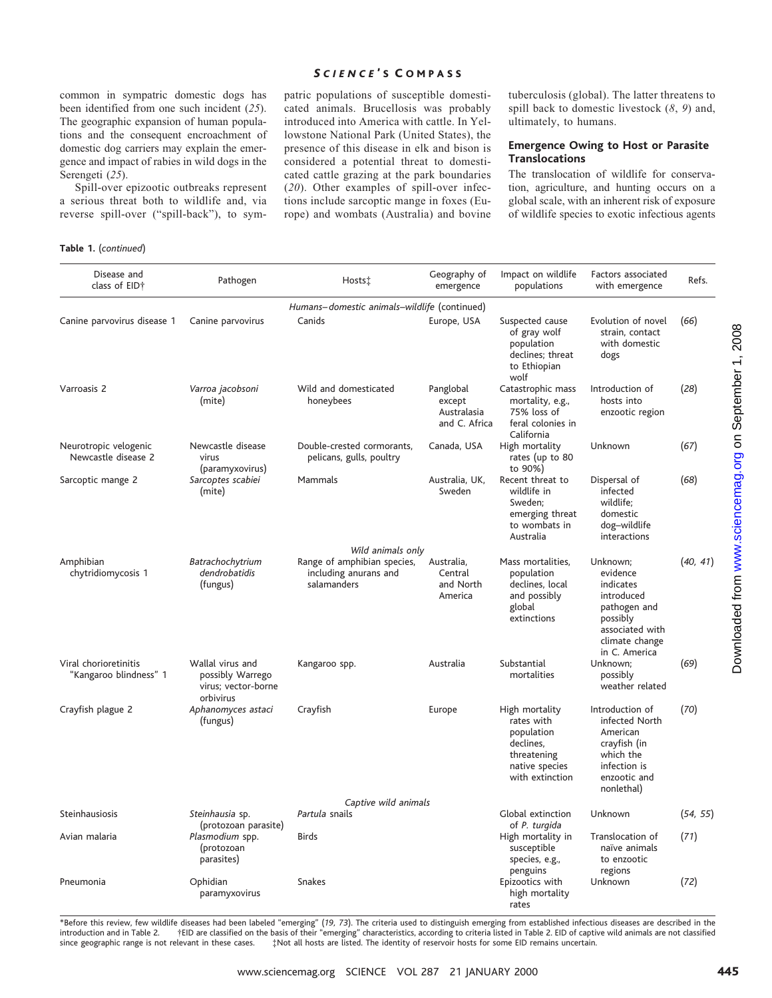common in sympatric domestic dogs has been identified from one such incident (*25*). The geographic expansion of human populations and the consequent encroachment of domestic dog carriers may explain the emergence and impact of rabies in wild dogs in the Serengeti (*25*).

Spill-over epizootic outbreaks represent a serious threat both to wildlife and, via reverse spill-over ("spill-back"), to sym-

#### *S CIENCE* ' S C OMPASS

patric populations of susceptible domesticated animals. Brucellosis was probably introduced into America with cattle. In Yellowstone National Park (United States), the presence of this disease in elk and bison is considered a potential threat to domesticated cattle grazing at the park boundaries (*20*). Other examples of spill-over infections include sarcoptic mange in foxes (Europe) and wombats (Australia) and bovine

tuberculosis (global). The latter threatens to spill back to domestic livestock (*8*, *9*) and, ultimately, to humans.

#### **Emergence Owing to Host or Parasite Translocations**

The translocation of wildlife for conservation, agriculture, and hunting occurs on a global scale, with an inherent risk of exposure of wildlife species to exotic infectious agents

**Table 1.** (*continued*)

| Disease and<br>class of EID†                    | Pathogen                                                                 | Hosts‡                                                                                   | Geography of<br>emergence                           | Impact on wildlife<br>populations                                                                           | Factors associated<br>with emergence                                                                                              | Refs.    |
|-------------------------------------------------|--------------------------------------------------------------------------|------------------------------------------------------------------------------------------|-----------------------------------------------------|-------------------------------------------------------------------------------------------------------------|-----------------------------------------------------------------------------------------------------------------------------------|----------|
|                                                 |                                                                          | Humans-domestic animals-wildlife (continued)                                             |                                                     |                                                                                                             |                                                                                                                                   |          |
| Canine parvovirus disease 1                     | Canine parvovirus                                                        | Canids                                                                                   | Europe, USA                                         | Suspected cause<br>of gray wolf<br>population<br>declines; threat<br>to Ethiopian<br>wolf                   | Evolution of novel<br>strain, contact<br>with domestic<br>dogs                                                                    | (66)     |
| Varroasis 2                                     | Varroa jacobsoni<br>(mite)                                               | Wild and domesticated<br>honeybees                                                       | Panglobal<br>except<br>Australasia<br>and C. Africa | Catastrophic mass<br>mortality, e.g.,<br>75% loss of<br>feral colonies in<br>California                     | Introduction of<br>hosts into<br>enzootic region                                                                                  | (28)     |
| Neurotropic velogenic<br>Newcastle disease 2    | Newcastle disease<br>virus<br>(paramyxovirus)                            | Double-crested cormorants,<br>pelicans, gulls, poultry                                   | Canada, USA                                         | High mortality<br>rates (up to 80<br>to 90%)                                                                | Unknown                                                                                                                           | (67)     |
| Sarcoptic mange 2                               | Sarcoptes scabiei<br>(mite)                                              | Mammals                                                                                  | Australia, UK,<br>Sweden                            | Recent threat to<br>wildlife in<br>Sweden;<br>emerging threat<br>to wombats in<br>Australia                 | Dispersal of<br>infected<br>wildlife;<br>domestic<br>dog-wildlife<br>interactions                                                 | (68)     |
| Amphibian<br>chytridiomycosis 1                 | Batrachochytrium<br>dendrobatidis<br>(fungus)                            | Wild animals only<br>Range of amphibian species,<br>including anurans and<br>salamanders | Australia,<br>Central<br>and North<br>America       | Mass mortalities,<br>population<br>declines, local<br>and possibly<br>global<br>extinctions                 | Unknown;<br>evidence<br>indicates<br>introduced<br>pathogen and<br>possibly<br>associated with<br>climate change<br>in C. America | (40, 41) |
| Viral chorioretinitis<br>"Kangaroo blindness" 1 | Wallal virus and<br>possibly Warrego<br>virus; vector-borne<br>orbivirus | Kangaroo spp.                                                                            | Australia                                           | Substantial<br>mortalities                                                                                  | Unknown;<br>possibly<br>weather related                                                                                           | (69)     |
| Crayfish plague 2                               | Aphanomyces astaci<br>(fungus)                                           | Crayfish                                                                                 | Europe                                              | High mortality<br>rates with<br>population<br>declines,<br>threatening<br>native species<br>with extinction | Introduction of<br>infected North<br>American<br>crayfish (in<br>which the<br>infection is<br>enzootic and<br>nonlethal)          | (70)     |
|                                                 |                                                                          | Captive wild animals                                                                     |                                                     |                                                                                                             |                                                                                                                                   |          |
| Steinhausiosis                                  | Steinhausia sp.<br>(protozoan parasite)                                  | Partula snails                                                                           |                                                     | Global extinction<br>of P. turgida                                                                          | Unknown                                                                                                                           | (54, 55) |
| Avian malaria                                   | Plasmodium spp.<br>(protozoan<br>parasites)                              | <b>Birds</b>                                                                             |                                                     | High mortality in<br>susceptible<br>species, e.g.,<br>penguins                                              | Translocation of<br>naïve animals<br>to enzootic<br>regions                                                                       | (71)     |
| Pneumonia                                       | Ophidian<br>paramyxovirus                                                | Snakes                                                                                   |                                                     | Epizootics with<br>high mortality<br>rates                                                                  | Unknown                                                                                                                           | (72)     |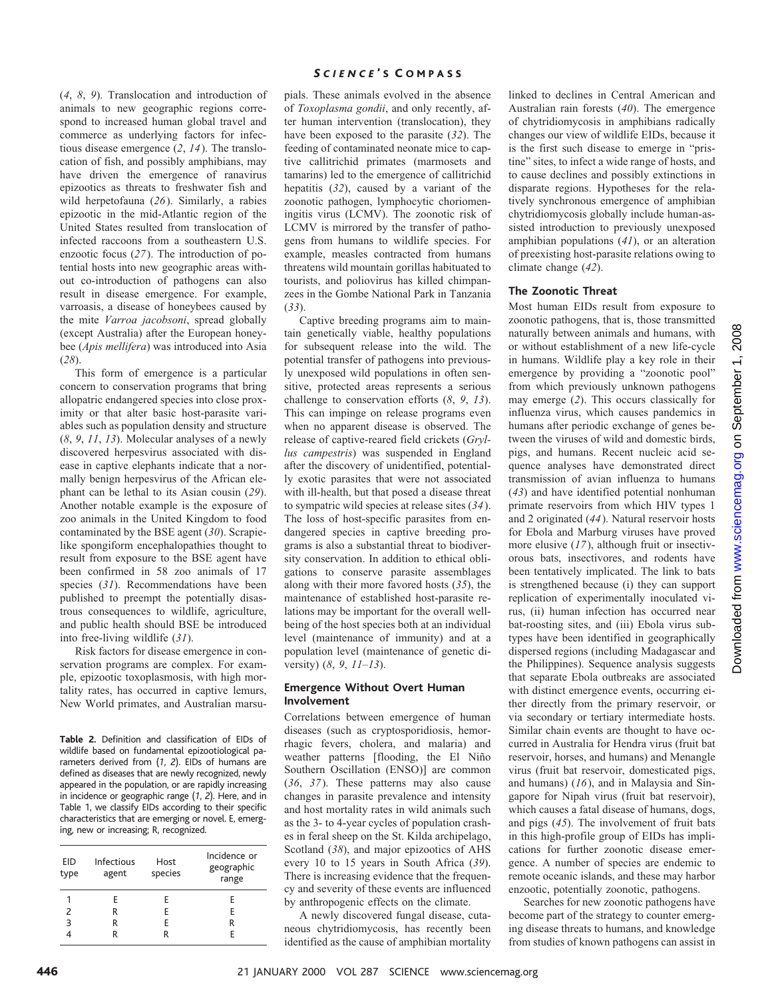(*4*, *8*, *9*). Translocation and introduction of animals to new geographic regions correspond to increased human global travel and commerce as underlying factors for infectious disease emergence (*2*, *14*). The translocation of fish, and possibly amphibians, may have driven the emergence of ranavirus epizootics as threats to freshwater fish and wild herpetofauna (*26*). Similarly, a rabies epizootic in the mid-Atlantic region of the United States resulted from translocation of infected raccoons from a southeastern U.S. enzootic focus (*27*). The introduction of potential hosts into new geographic areas without co-introduction of pathogens can also result in disease emergence. For example, varroasis, a disease of honeybees caused by the mite *Varroa jacobsoni*, spread globally (except Australia) after the European honeybee (*Apis mellifera*) was introduced into Asia (*28*).

This form of emergence is a particular concern to conservation programs that bring allopatric endangered species into close proximity or that alter basic host-parasite variables such as population density and structure (*8*, *9*, *11*, *13*). Molecular analyses of a newly discovered herpesvirus associated with disease in captive elephants indicate that a normally benign herpesvirus of the African elephant can be lethal to its Asian cousin (*29*). Another notable example is the exposure of zoo animals in the United Kingdom to food contaminated by the BSE agent (*30*). Scrapielike spongiform encephalopathies thought to result from exposure to the BSE agent have been confirmed in 58 zoo animals of 17 species (*31*). Recommendations have been published to preempt the potentially disastrous consequences to wildlife, agriculture, and public health should BSE be introduced into free-living wildlife (*31*).

Risk factors for disease emergence in conservation programs are complex. For example, epizootic toxoplasmosis, with high mortality rates, has occurred in captive lemurs, New World primates, and Australian marsu-

**Table 2.** Definition and classification of EIDs of wildlife based on fundamental epizootiological parameters derived from (*1*, *2*). EIDs of humans are defined as diseases that are newly recognized, newly appeared in the population, or are rapidly increasing in incidence or geographic range (*1*, *2*). Here, and in Table 1, we classify EIDs according to their specific characteristics that are emerging or novel. E, emerging, new or increasing; R, recognized.

| EID<br>type | Infectious<br>agent | Host<br>species | Incidence or<br>geographic<br>range |
|-------------|---------------------|-----------------|-------------------------------------|
| 1           | F                   | F.              | Е                                   |
| 2           | R                   | E               | E                                   |
| З           | R                   | F               | R                                   |
|             | R                   | R               | F                                   |

### *S CIENCE* ' S C OMPASS

pials. These animals evolved in the absence of *Toxoplasma gondii*, and only recently, after human intervention (translocation), they have been exposed to the parasite (*32*). The feeding of contaminated neonate mice to captive callitrichid primates (marmosets and tamarins) led to the emergence of callitrichid hepatitis (*32*), caused by a variant of the zoonotic pathogen, lymphocytic choriomeningitis virus (LCMV). The zoonotic risk of LCMV is mirrored by the transfer of pathogens from humans to wildlife species. For example, measles contracted from humans threatens wild mountain gorillas habituated to tourists, and poliovirus has killed chimpanzees in the Gombe National Park in Tanzania (*33*).

Captive breeding programs aim to maintain genetically viable, healthy populations for subsequent release into the wild. The potential transfer of pathogens into previously unexposed wild populations in often sensitive, protected areas represents a serious challenge to conservation efforts (*8*, *9*, *13*). This can impinge on release programs even when no apparent disease is observed. The release of captive-reared field crickets (*Gryllus campestris*) was suspended in England after the discovery of unidentified, potentially exotic parasites that were not associated with ill-health, but that posed a disease threat to sympatric wild species at release sites (*34*). The loss of host-specific parasites from endangered species in captive breeding programs is also a substantial threat to biodiversity conservation. In addition to ethical obligations to conserve parasite assemblages along with their more favored hosts (*35*), the maintenance of established host-parasite relations may be important for the overall wellbeing of the host species both at an individual level (maintenance of immunity) and at a population level (maintenance of genetic diversity) (*8*, *9*, *11–13*).

#### **Emergence Without Overt Human Involvement**

Correlations between emergence of human diseases (such as cryptosporidiosis, hemorrhagic fevers, cholera, and malaria) and weather patterns [flooding, the El Niño Southern Oscillation (ENSO)] are common (*36*, *37*). These patterns may also cause changes in parasite prevalence and intensity and host mortality rates in wild animals such as the 3- to 4-year cycles of population crashes in feral sheep on the St. Kilda archipelago, Scotland (*38*), and major epizootics of AHS every 10 to 15 years in South Africa (*39*). There is increasing evidence that the frequency and severity of these events are influenced by anthropogenic effects on the climate.

A newly discovered fungal disease, cutaneous chytridiomycosis, has recently been identified as the cause of amphibian mortality

linked to declines in Central American and Australian rain forests (*40*). The emergence of chytridiomycosis in amphibians radically changes our view of wildlife EIDs, because it is the first such disease to emerge in "pristine" sites, to infect a wide range of hosts, and to cause declines and possibly extinctions in disparate regions. Hypotheses for the relatively synchronous emergence of amphibian chytridiomycosis globally include human-assisted introduction to previously unexposed amphibian populations (*41*), or an alteration of preexisting host-parasite relations owing to climate change (*42*).

#### **The Zoonotic Threat**

Most human EIDs result from exposure to zoonotic pathogens, that is, those transmitted naturally between animals and humans, with or without establishment of a new life-cycle in humans. Wildlife play a key role in their emergence by providing a "zoonotic pool" from which previously unknown pathogens may emerge (*2*). This occurs classically for influenza virus, which causes pandemics in humans after periodic exchange of genes between the viruses of wild and domestic birds, pigs, and humans. Recent nucleic acid sequence analyses have demonstrated direct transmission of avian influenza to humans (*43*) and have identified potential nonhuman primate reservoirs from which HIV types 1 and 2 originated (*44*). Natural reservoir hosts for Ebola and Marburg viruses have proved more elusive (*17*), although fruit or insectivorous bats, insectivores, and rodents have been tentatively implicated. The link to bats is strengthened because (i) they can support replication of experimentally inoculated virus, (ii) human infection has occurred near bat-roosting sites, and (iii) Ebola virus subtypes have been identified in geographically dispersed regions (including Madagascar and the Philippines). Sequence analysis suggests that separate Ebola outbreaks are associated with distinct emergence events, occurring either directly from the primary reservoir, or via secondary or tertiary intermediate hosts. Similar chain events are thought to have occurred in Australia for Hendra virus (fruit bat reservoir, horses, and humans) and Menangle virus (fruit bat reservoir, domesticated pigs, and humans) (*16*), and in Malaysia and Singapore for Nipah virus (fruit bat reservoir), which causes a fatal disease of humans, dogs, and pigs (*45*). The involvement of fruit bats in this high-profile group of EIDs has implications for further zoonotic disease emergence. A number of species are endemic to remote oceanic islands, and these may harbor enzootic, potentially zoonotic, pathogens.

Searches for new zoonotic pathogens have become part of the strategy to counter emerging disease threats to humans, and knowledge from studies of known pathogens can assist in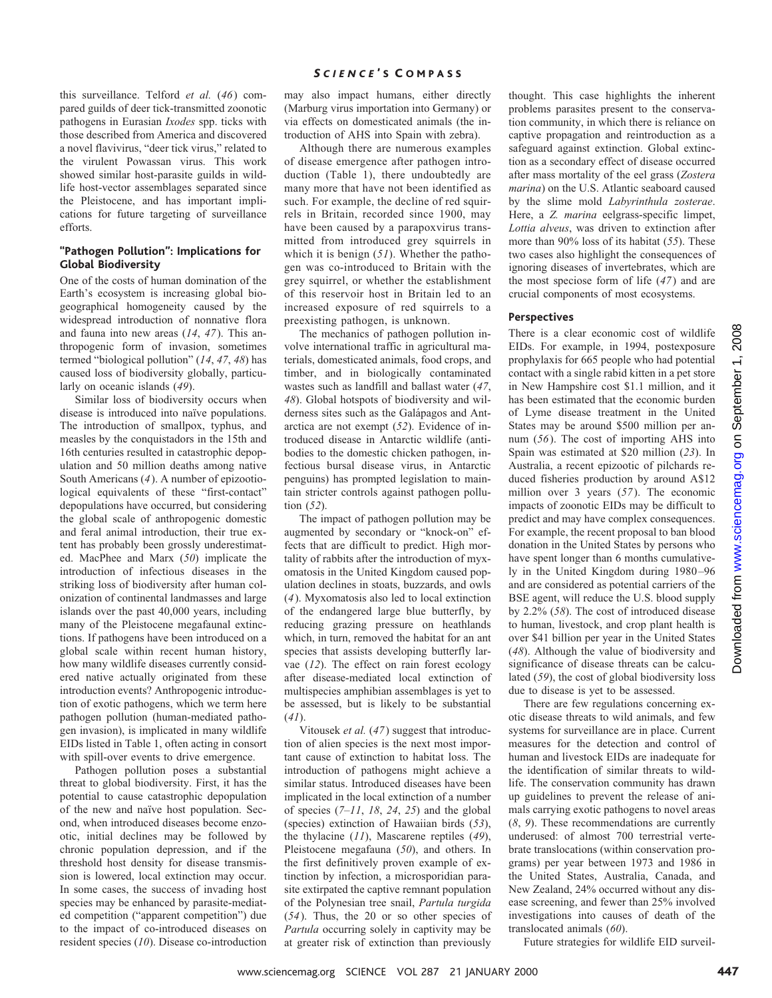#### *S CIENCE* ' S C OMPASS

this surveillance. Telford *et al.* (*46*) compared guilds of deer tick-transmitted zoonotic pathogens in Eurasian *Ixodes* spp. ticks with those described from America and discovered a novel flavivirus, "deer tick virus," related to the virulent Powassan virus. This work showed similar host-parasite guilds in wildlife host-vector assemblages separated since the Pleistocene, and has important implications for future targeting of surveillance efforts.

#### **"Pathogen Pollution": Implications for Global Biodiversity**

One of the costs of human domination of the Earth's ecosystem is increasing global biogeographical homogeneity caused by the widespread introduction of nonnative flora and fauna into new areas (*14*, *47*). This anthropogenic form of invasion, sometimes termed "biological pollution" (*14*, *47*, *48*) has caused loss of biodiversity globally, particularly on oceanic islands (*49*).

Similar loss of biodiversity occurs when disease is introduced into naïve populations. The introduction of smallpox, typhus, and measles by the conquistadors in the 15th and 16th centuries resulted in catastrophic depopulation and 50 million deaths among native South Americans (*4*). A number of epizootiological equivalents of these "first-contact" depopulations have occurred, but considering the global scale of anthropogenic domestic and feral animal introduction, their true extent has probably been grossly underestimated. MacPhee and Marx (*50*) implicate the introduction of infectious diseases in the striking loss of biodiversity after human colonization of continental landmasses and large islands over the past 40,000 years, including many of the Pleistocene megafaunal extinctions. If pathogens have been introduced on a global scale within recent human history, how many wildlife diseases currently considered native actually originated from these introduction events? Anthropogenic introduction of exotic pathogens, which we term here pathogen pollution (human-mediated pathogen invasion), is implicated in many wildlife EIDs listed in Table 1, often acting in consort with spill-over events to drive emergence.

Pathogen pollution poses a substantial threat to global biodiversity. First, it has the potential to cause catastrophic depopulation of the new and naïve host population. Second, when introduced diseases become enzootic, initial declines may be followed by chronic population depression, and if the threshold host density for disease transmission is lowered, local extinction may occur. In some cases, the success of invading host species may be enhanced by parasite-mediated competition ("apparent competition") due to the impact of co-introduced diseases on resident species (*10*). Disease co-introduction may also impact humans, either directly (Marburg virus importation into Germany) or via effects on domesticated animals (the introduction of AHS into Spain with zebra).

Although there are numerous examples of disease emergence after pathogen introduction (Table 1), there undoubtedly are many more that have not been identified as such. For example, the decline of red squirrels in Britain, recorded since 1900, may have been caused by a parapoxvirus transmitted from introduced grey squirrels in which it is benign (*51*). Whether the pathogen was co-introduced to Britain with the grey squirrel, or whether the establishment of this reservoir host in Britain led to an increased exposure of red squirrels to a preexisting pathogen, is unknown.

The mechanics of pathogen pollution involve international traffic in agricultural materials, domesticated animals, food crops, and timber, and in biologically contaminated wastes such as landfill and ballast water (*47*, *48*). Global hotspots of biodiversity and wilderness sites such as the Galápagos and Antarctica are not exempt (*52*). Evidence of introduced disease in Antarctic wildlife (antibodies to the domestic chicken pathogen, infectious bursal disease virus, in Antarctic penguins) has prompted legislation to maintain stricter controls against pathogen pollution (*52*).

The impact of pathogen pollution may be augmented by secondary or "knock-on" effects that are difficult to predict. High mortality of rabbits after the introduction of myxomatosis in the United Kingdom caused population declines in stoats, buzzards, and owls (*4*). Myxomatosis also led to local extinction of the endangered large blue butterfly, by reducing grazing pressure on heathlands which, in turn, removed the habitat for an ant species that assists developing butterfly larvae (*12*). The effect on rain forest ecology after disease-mediated local extinction of multispecies amphibian assemblages is yet to be assessed, but is likely to be substantial (*41*).

Vitousek *et al.* (*47*) suggest that introduction of alien species is the next most important cause of extinction to habitat loss. The introduction of pathogens might achieve a similar status. Introduced diseases have been implicated in the local extinction of a number of species (*7–11*, *18*, *24*, *25*) and the global (species) extinction of Hawaiian birds (*53*), the thylacine (*11*), Mascarene reptiles (*49*), Pleistocene megafauna (*50*), and others. In the first definitively proven example of extinction by infection, a microsporidian parasite extirpated the captive remnant population of the Polynesian tree snail, *Partula turgida* (*54*). Thus, the 20 or so other species of *Partula* occurring solely in captivity may be at greater risk of extinction than previously

thought. This case highlights the inherent problems parasites present to the conservation community, in which there is reliance on captive propagation and reintroduction as a safeguard against extinction. Global extinction as a secondary effect of disease occurred after mass mortality of the eel grass (*Zostera marina*) on the U.S. Atlantic seaboard caused by the slime mold *Labyrinthula zosterae*. Here, a *Z. marina* eelgrass-specific limpet, *Lottia alveus*, was driven to extinction after more than 90% loss of its habitat (*55*). These two cases also highlight the consequences of ignoring diseases of invertebrates, which are the most speciose form of life (*47*) and are crucial components of most ecosystems.

#### **Perspectives**

There is a clear economic cost of wildlife EIDs. For example, in 1994, postexposure prophylaxis for 665 people who had potential contact with a single rabid kitten in a pet store in New Hampshire cost \$1.1 million, and it has been estimated that the economic burden of Lyme disease treatment in the United States may be around \$500 million per annum (*56*). The cost of importing AHS into Spain was estimated at \$20 million (*23*). In Australia, a recent epizootic of pilchards reduced fisheries production by around A\$12 million over 3 years (*57*). The economic impacts of zoonotic EIDs may be difficult to predict and may have complex consequences. For example, the recent proposal to ban blood donation in the United States by persons who have spent longer than 6 months cumulatively in the United Kingdom during 1980–96 and are considered as potential carriers of the BSE agent, will reduce the U.S. blood supply by 2.2% (*58*). The cost of introduced disease to human, livestock, and crop plant health is over \$41 billion per year in the United States (*48*). Although the value of biodiversity and significance of disease threats can be calculated (*59*), the cost of global biodiversity loss due to disease is yet to be assessed. wherewe are expected by science with the set of the control in the set of the set of the set of the set of the set of the set of the set of the set of the set of the set of the set of the set of the set of the set of the

There are few regulations concerning exotic disease threats to wild animals, and few systems for surveillance are in place. Current measures for the detection and control of human and livestock EIDs are inadequate for the identification of similar threats to wildlife. The conservation community has drawn up guidelines to prevent the release of animals carrying exotic pathogens to novel areas (*8*, *9*). These recommendations are currently underused: of almost 700 terrestrial vertebrate translocations (within conservation programs) per year between 1973 and 1986 in the United States, Australia, Canada, and New Zealand, 24% occurred without any disease screening, and fewer than 25% involved investigations into causes of death of the translocated animals (*60*).

Future strategies for wildlife EID surveil-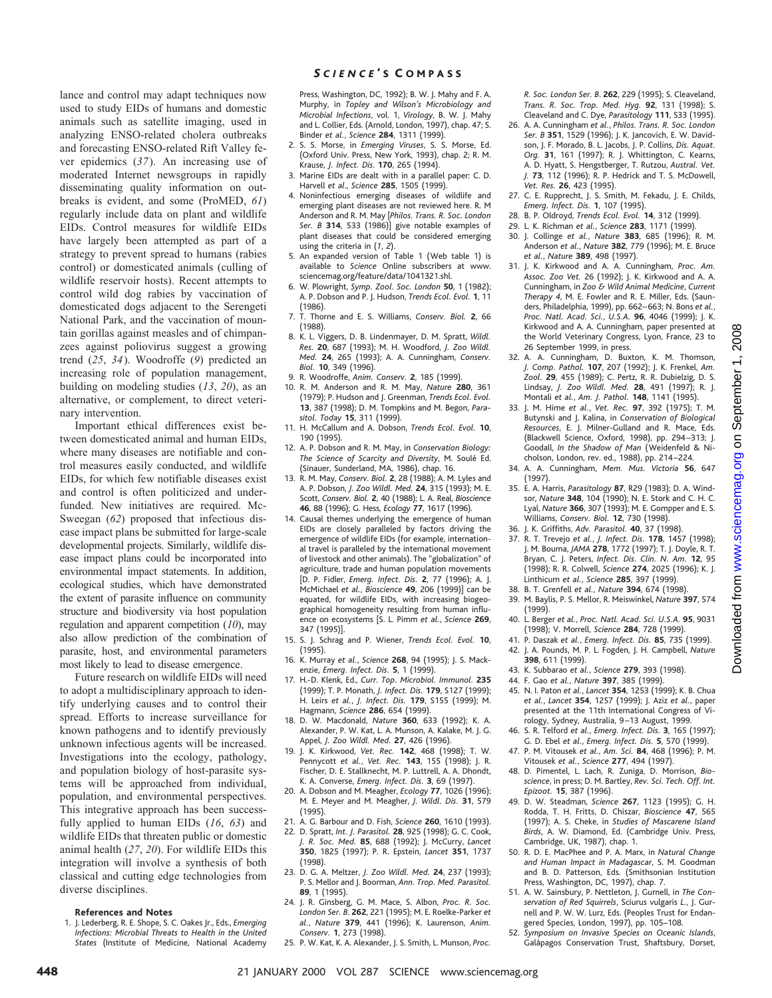lance and control may adapt techniques now used to study EIDs of humans and domestic animals such as satellite imaging, used in analyzing ENSO-related cholera outbreaks and forecasting ENSO-related Rift Valley fever epidemics (*37*). An increasing use of moderated Internet newsgroups in rapidly disseminating quality information on outbreaks is evident, and some (ProMED, *61*) regularly include data on plant and wildlife EIDs. Control measures for wildlife EIDs have largely been attempted as part of a strategy to prevent spread to humans (rabies control) or domesticated animals (culling of wildlife reservoir hosts). Recent attempts to control wild dog rabies by vaccination of domesticated dogs adjacent to the Serengeti National Park, and the vaccination of mountain gorillas against measles and of chimpanzees against poliovirus suggest a growing trend (*25*, *34*). Woodroffe (*9*) predicted an increasing role of population management, building on modeling studies (*13*, *20*), as an alternative, or complement, to direct veterinary intervention.

Important ethical differences exist between domesticated animal and human EIDs, where many diseases are notifiable and control measures easily conducted, and wildlife EIDs, for which few notifiable diseases exist and control is often politicized and underfunded. New initiatives are required. Mc-Sweegan (*62*) proposed that infectious disease impact plans be submitted for large-scale developmental projects. Similarly, wildlife disease impact plans could be incorporated into environmental impact statements. In addition, ecological studies, which have demonstrated the extent of parasite influence on community structure and biodiversity via host population regulation and apparent competition (*10*), may also allow prediction of the combination of parasite, host, and environmental parameters most likely to lead to disease emergence.

Future research on wildlife EIDs will need to adopt a multidisciplinary approach to identify underlying causes and to control their spread. Efforts to increase surveillance for known pathogens and to identify previously unknown infectious agents will be increased. Investigations into the ecology, pathology, and population biology of host-parasite systems will be approached from individual, population, and environmental perspectives. This integrative approach has been successfully applied to human EIDs (*16*, *63*) and wildlife EIDs that threaten public or domestic animal health (*27*, *20*). For wildlife EIDs this integration will involve a synthesis of both classical and cutting edge technologies from diverse disciplines.

#### **References and Notes**

1. J. Lederberg, R. E. Shope, S. C. Oakes Jr., Eds., *Emerging Infections: Microbial Threats to Health in the United States* (Institute of Medicine*,* National Academy

#### *S CIENCE* ' S C OMPASS

Press, Washington, DC, 1992); B. W. J. Mahy and F. A. Murphy, in *Topley and Wilson's Microbiology and Microbial Infections*, vol. 1, *Virology*, B. W. J. Mahy and L. Collier, Eds. (Arnold, London, 1997), chap. 47; S. Binder *et al.*, *Science* **284**, 1311 (1999).

- 2. S. S. Morse, in *Emerging Viruses*, S. S. Morse, Ed. (Oxford Univ. Press, New York, 1993), chap. 2; R. M. Krause, *J. Infect. Dis*. **170**, 265 (1994).
- 3. Marine EIDs are dealt with in a parallel paper: C. D. Harvell *et al*., *Science* **285**, 1505 (1999).
- 4. Noninfectious emerging diseases of wildlife and emerging plant diseases are not reviewed here. R. M Anderson and R. M. May [*Philos. Trans. R. Soc. London Ser. B* **314**, 533 (1986)] give notable examples of plant diseases that could be considered emerging using the criteria in (*1*, *2*).
- 5. An expanded version of Table 1 (Web table 1) is available to *Science* Online subscribers at www. sciencemag.org/feature/data/1041321.shl.
- 6. W. Plowright, *Symp. Zool. Soc. London* **50**, 1 (1982); A. P. Dobson and P. J. Hudson, *Trends Ecol. Evol.* **1**, 11 (1986).
- 7. T. Thorne and E. S. Williams, *Conserv. Biol.* **2**, 66 (1988).
- 8. K. L. Viggers, D. B. Lindenmayer, D. M. Spratt, *Wildl. Res.* **20**, 687 (1993); M. H. Woodford, *J. Zoo Wildl. Med.* **24**, 265 (1993); A. A. Cunningham, *Conserv. Biol.* **10**, 349 (1996).
- 9. R. Woodroffe, *Anim. Conserv.* **2**, 185 (1999).
- 10. R. M. Anderson and R. M. May, *Nature* **280**, 361 (1979); P. Hudson and J. Greenman, *Trends Ecol. Evol.* **13**, 387 (1998); D. M. Tompkins and M. Begon, *Parasitol. Today* **15**, 311 (1999).
- 11. H. McCallum and A. Dobson, *Trends Ecol. Evol.* **10**, 190 (1995).
- 12. A. P. Dobson and R. M. May, in *Conservation Biology: The Science of Scarcity and Diversity*, M. Soule´ Ed. (Sinauer, Sunderland, MA, 1986), chap. 16.
- 13. R. M. May, *Conserv. Biol.* **2**, 28 (1988); A. M. Lyles and A. P. Dobson, *J. Zoo Wildl. Med.* **24**, 315 (1993); M. E. Scott, *Conserv. Biol.* **2**, 40 (1988); L. A. Real, *Bioscience* **46**, 88 (1996); G. Hess, *Ecology* **77**, 1617 (1996).
- 14. Causal themes underlying the emergence of human EIDs are closely paralleled by factors driving the emergence of wildlife EIDs (for example, international travel is paralleled by the international movement of livestock and other animals). The "globalization" of agriculture, trade and human population movements [D. P. Fidler, *Emerg. Infect. Dis.* **2**, 77 (1996); A. J. McMichael *et al.*, *Bioscience* **49**, 206 (1999)] can be equated, for wildlife EIDs, with increasing biogeographical homogeneity resulting from human influence on ecosystems [S. L. Pimm *et al.*, *Science* **269**, 347 (1995)].
- 15. S. J. Schrag and P. Wiener, *Trends Ecol. Evol.* **10**, (1995).
- 16. K. Murray *et al.*, *Science* **268**, 94 (1995); J. S. Mackenzie, *Emerg. Infect. Dis.* **5**, 1 (1999).
- 17. H.-D. Klenk, Ed., *Curr. Top. Microbiol. Immunol.* **235** (1999); T. P. Monath, *J. Infect. Dis.* **179**, S127 (1999); H. Leirs *et al.*, *J. Infect. Dis.* **179**, S155 (1999); M. Hagmann, *Science* **286**, 654 (1999).
- 18. D. W. Macdonald, *Nature* **360**, 633 (1992); K. A. Alexander, P. W. Kat, L. A. Munson, A. Kalake, M. J. G. Appel, *J. Zoo Wildl. Med.* **27**, 426 (1996).
- 19. J. K. Kirkwood, *Vet. Rec.* **142**, 468 (1998); T. W. Pennycott *et al.*, *Vet. Rec.* **143**, 155 (1998); J. R. Fischer, D. E. Stallknecht, M. P. Luttrell, A. A. Dhondt, K. A. Converse, *Emerg. Infect. Dis.* **3**, 69 (1997).
- 20. A. Dobson and M. Meagher, *Ecology* **77**, 1026 (1996); M. E. Meyer and M. Meagher, *J. Wildl. Dis.* **31**, 579 (1995).
- 21. A. G. Barbour and D. Fish, *Science* **260**, 1610 (1993). 22. D. Spratt, *Int. J. Parasitol.* **28**, 925 (1998); G. C. Cook, *J. R. Soc. Med.* **85**, 688 (1992); J. McCurry, *Lancet*
- **350**, 1825 (1997); P. R. Epstein, *Lancet* **351**, 1737 (1998). 23. D. G. A. Meltzer, *J. Zoo Wildl. Med.* **24**, 237 (1993);
- P. S. Mellor and J. Boorman, *Ann. Trop. Med. Parasitol.* **89**, 1 (1995).
- 24. J. R. Ginsberg, G. M. Mace, S. Albon, *Proc. R. Soc. London Ser. B*. **262**, 221 (1995); M. E. Roelke-Parker *et al.*, *Nature* **379**, 441 (1996); K. Laurenson, *Anim. Conserv.* **1**, 273 (1998).
- 25. P. W. Kat, K. A. Alexander, J. S. Smith, L. Munson, *Proc.*

*R. Soc. London Ser. B*. **262**, 229 (1995); S. Cleaveland, *Trans. R. Soc. Trop. Med. Hyg.* **92**, 131 (1998); S. Cleaveland and C. Dye, *Parasitology* **111**, S33 (1995).

- 26. A. A. Cunningham *et al.*, *Philos. Trans. R. Soc. London Ser. B* **351**, 1529 (1996); J. K. Jancovich, E. W. Davidson, J. F. Morado, B. L. Jacobs, J. P. Collins, *Dis. Aquat. Org.* **31**, 161 (1997); R. J. Whittington, C. Kearns, A. D. Hyatt, S. Hengstberger, T. Rutzou, *Austral. Vet. J.* **73**, 112 (1996); R. P. Hedrick and T. S. McDowell, *Vet. Res.* **26**, 423 (1995).
- 27. C. E. Rupprecht, J. S. Smith, M. Fekadu, J. E. Childs, *Emerg. Infect. Dis.* **1**, 107 (1995).
- 28. B. P. Oldroyd, *Trends Ecol. Evol.* **14**, 312 (1999).
- 29. L. K. Richman *et al.*, *Science* **283**, 1171 (1999).
- 30. J. Collinge *et al.*, *Nature* **383**, 685 (1996); R. M. Anderson *et al.*, *Nature* **382**, 779 (1996); M. E. Bruce *et al.*, *Nature* **389**, 498 (1997).
- 31. J. K. Kirkwood and A. A. Cunningham, *Proc. Am. Assoc. Zoo Vet.* 26 (1992); J. K. Kirkwood and A. A. Cunningham, in *Zoo & Wild Animal Medicine*, *Current Therapy 4*, M. E. Fowler and R. E. Miller, Eds. (Saunders, Philadelphia, 1999), pp. 662–663; N. Bons *et al.*, *Proc. Natl. Acad. Sci.*, *U.S.A.* **96**, 4046 (1999); J. K. Kirkwood and A. A. Cunningham, paper presented at the World Veterinary Congress, Lyon, France, 23 to 26 September 1999, in press.
- 32. A. A. Cunningham, D. Buxton, K. M. Thomson, *J. Comp. Pathol.* **107**, 207 (1992); J. K. Frenkel, *Am. Zool.* **29**, 455 (1989); C. Pertz, R. R. Dubielzig, D. S. Lindsay, *J. Zoo Wildl. Med.* **28**, 491 (1997); R. J. Montali *et al.*, *Am. J. Pathol.* **148**, 1141 (1995).
- 33. J. M. Hime *et al.*, *Vet. Rec.* **97**, 392 (1975); T. M. Butynski and J. Kalina, in *Conservation of Biological Resources*, E. J. Milner-Gulland and R. Mace, Eds. (Blackwell Science, Oxford, 1998), pp. 294–313; J. Goodall, *In the Shadow of Man* (Weidenfeld & Nicholson, London, rev. ed., 1988), pp. 214–224.
- 34. A. A. Cunningham, *Mem. Mus. Victoria* **56**, 647 (1997).
- 35. E. A. Harris, *Parasitology* **87**, R29 (1983); D. A. Windsor, *Nature* **348**, 104 (1990); N. E. Stork and C. H. C. Lyal, *Nature* **366**, 307 (1993); M. E. Gompper and E. S. Williams, *Conserv. Biol.* **12**, 730 (1998).
- 36. J. K. Griffiths, *Adv. Parasitol.* **40**, 37 (1998).
- 37. R. T. Trevejo *et al.*, *J. Infect. Dis.* **178**, 1457 (1998); J. M. Bouma, *JAMA* **278**, 1772 (1997); T. J. Doyle, R. T. Bryan, C. J. Peters, *Infect. Dis. Clin. N. Am.* **12**, 95 (1998); R. R. Colwell, *Science* **274**, 2025 (1996); K. J. Linthicum *et al.*, *Science* **285**, 397 (1999).
- 38. B. T. Grenfell *et al.*, *Nature* **394**, 674 (1998).
- 39. M. Baylis, P. S. Mellor, R. Meiswinkel, *Nature* **397**, 574 (1999). 40. L. Berger *et al.*, *Proc. Natl. Acad. Sci. U.S.A.* **95**, 9031
- (1998); V. Morrell, *Science* **284**, 728 (1999).
- 41. P. Daszak *et al.*, *Emerg. Infect. Dis.* **85**, 735 (1999). 42. J. A. Pounds, M. P. L. Fogden, J. H. Campbell, *Nature* **398**, 611 (1999).
- 43. K. Subbarao *et al.*, *Science* **279**, 393 (1998).
- 44. F. Gao *et al.*, *Nature* **397**, 385 (1999).
- 45. N. I. Paton *et al.*, *Lancet* **354**, 1253 (1999); K. B. Chua *et al.*, *Lancet* **354**, 1257 (1999); J. Aziz *et al.*, paper presented at the 11th International Congress of Virology, Sydney, Australia, 9–13 August, 1999.
- 46. S. R. Telford *et al.*, *Emerg. Infect. Dis.* **3**, 165 (1997); G. D. Ebel *et al.*, *Emerg. Infect. Dis.* **5**, 570 (1999).
- 47. P. M. Vitousek *et al.*, *Am. Sci.* **84**, 468 (1996); P. M. Vitousek *et al.*, *Science* **277**, 494 (1997).
- 48. D. Pimentel, L. Lach, R. Zuniga, D. Morrison, *Bioscience*, in press; D. M. Bartley, *Rev. Sci. Tech. Off. Int. Epizoot.* **15**, 387 (1996).
- 49. D. W. Steadman, *Science* **267**, 1123 (1995); G. H. Rodda, T. H. Fritts, D. Chiszar, *Bioscience* **47**, 565 (1997); A. S. Cheke, in *Studies of Mascarene Island Birds*, A. W. Diamond, Ed. (Cambridge Univ. Press, Cambridge, UK, 1987), chap. 1.
- 50. R. D. E. MacPhee and P. A. Marx, in *Natural Change and Human Impact in Madagascar*, S. M. Goodman and B. D. Patterson, Eds. (Smithsonian Institution Press, Washington, DC, 1997), chap. 7.
- 51. A. W. Sainsbury, P. Nettleton, J. Gurnell, in *The Conservation of Red Squirrels*, Sciurus vulgaris *L.*, J. Gurnell and P. W. W. Lurz, Eds. (Peoples Trust for Endangered Species, London, 1997), pp. 105–108.
- 52. *Symposium on Invasive Species on Oceanic Islands*, Galápagos Conservation Trust, Shaftsbury, Dorset,